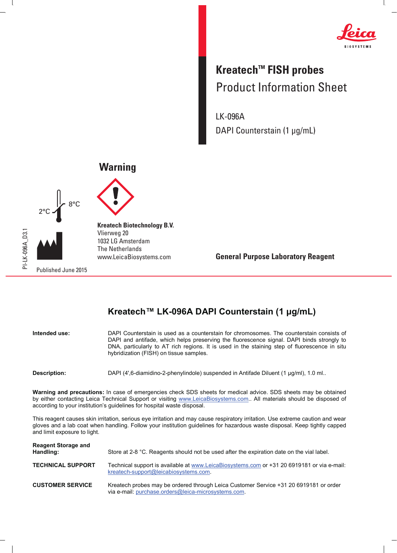

 $\mathbf{I}$ 

## **Kreatech™ FISH probes** Product Information Sheet

LK-096A DAPI Counterstain (1 μg/mL)

## **Warning**





 $\mathbf{I}$ 

**Kreatech Biotechnology B.V.** Vlierweg 20 1032 LG Amsterdam The Netherlands www.LeicaBiosystems.com

**General Purpose Laboratory Reagent**

## Kreatech™ LK-096A DAPI Counterstain (1 µg/mL)

| Intended use: | DAPI Counterstain is used as a counterstain for chromosomes. The counterstain consists of<br>DAPI and antifade, which helps preserving the fluorescence signal. DAPI binds strongly to<br>DNA, particularly to AT rich regions. It is used in the staining step of fluorescence in situ<br>hybridization (FISH) on tissue samples. |
|---------------|------------------------------------------------------------------------------------------------------------------------------------------------------------------------------------------------------------------------------------------------------------------------------------------------------------------------------------|
| Description:  | DAPI (4',6-diamidino-2-phenylindole) suspended in Antifade Diluent (1 µg/ml), 1.0 ml                                                                                                                                                                                                                                               |

**Warning and precautions:** In case of emergencies check SDS sheets for medical advice. SDS sheets may be obtained by either contacting Leica Technical Support or visiting www.LeicaBiosystems.com.. All materials should be disposed of according to your institution's guidelines for hospital waste disposal.

This reagent causes skin irritation, serious eye irritation and may cause respiratory irritation. Use extreme caution and wear gloves and a lab coat when handling. Follow your institution guidelines for hazardous waste disposal. Keep tightly capped and limit exposure to light.

| <b>Reagent Storage and</b><br>Handling: | Store at 2-8 °C. Reagents should not be used after the expiration date on the vial label.                                                    |
|-----------------------------------------|----------------------------------------------------------------------------------------------------------------------------------------------|
| <b>TECHNICAL SUPPORT</b>                | Technical support is available at www.LeicaBiosystems.com or +31 20 6919181 or via e-mail:<br>kreatech-support@leicabiosystems.com.          |
| <b>CUSTOMER SERVICE</b>                 | Kreatech probes may be ordered through Leica Customer Service +31 20 6919181 or order<br>via e-mail: purchase.orders@leica-microsystems.com. |